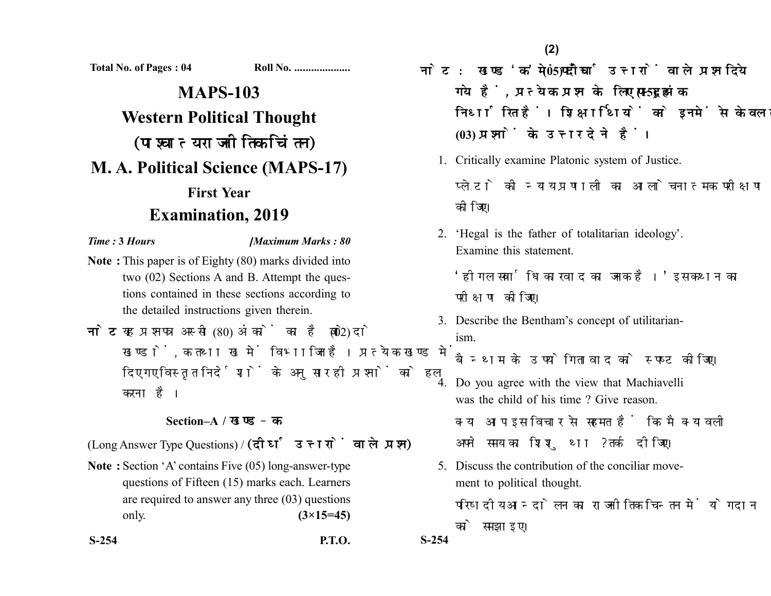**Total No. of Pages : 04 Roll No. ....................**

# **MAPS-103 Western Political Thought** (पाश्चात्य राजनीतिक चिंतन) **M. A. Political Science (MAPS-17) First Year Examination, 2019**

### *Time :* **3** *Hours [Maximum Marks : 80*

- **Note :** This paper is of Eighty (80) marks divided into two (02) Sections A and B. Attempt the questions contained in these sections according to the detailed instructions given therein.
- नोट: यह प्रश्नपत्र अस्सी (80) अंकों का है जो दो (02) खण्डों. क तथा ख में विभाजित है। प्रत्येक खण्ड में दिए गए विस्तृत निर्देशों के अनुसार ही प्रश्नों को हल करना है।

# **Section–A /**

(Long Answer Type Questions) / (दीर्घ उत्तरों वाले प्रश्न)

- **Note :** Section 'A' contains Five (05) long-answer-type questions of Fifteen (15) marks each. Learners are required to answer any three (03) questions only. **(3×15=45)**
- **S-254 P.T.O. S-254**

नोट: खण्ड 'क' में पाँच (05) दीर्घ उत्तरों वाले प्रश्न दिये गये हैं, प्रत्येक प्रश्न के लिए पन्दह (15) अंक निर्धारित हैं। शिक्षार्थियों को इनमें से केवल तीन **(03)** 

- 1. Critically examine Platonic system of Justice. प्लेटो की न्याय पणाली का आलोचनात्मक परीक्षण कोजिए।
- 2. 'Hegal is the father of totalitarian ideology'. Examine this statement.

'होगल सर्वाधिकारवाद का जनक है।' इस कथन का परीक्षण कोजिए।

3. Describe the Bentham's concept of utilitarianism.

बैन्थम के उपयोगितावाद को स्पष्ट कीजिए।

4. Do you agree with the view that Machiavelli was the child of his time ? Give reason. क्या आप इस विचार से सहमत हैं कि मैक्यावली

अपने समय का शिशु था ? तर्क दीजिए।

5. Discuss the contribution of the conciliar movement to political thought.

परिषदीय आन्दोलन का राजनीतिक चिन्तन में योगदान को समझाइए।